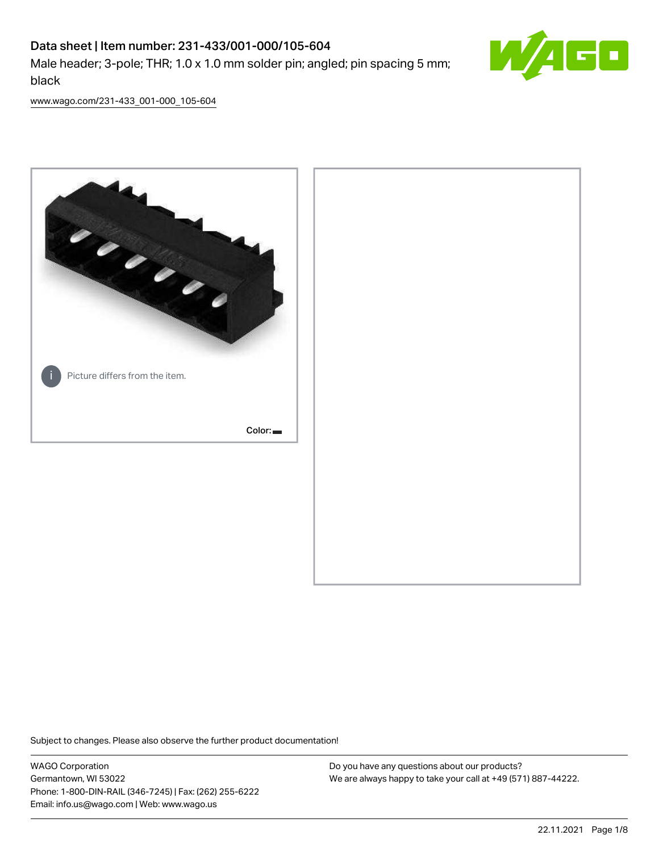# Data sheet | Item number: 231-433/001-000/105-604 Male header; 3-pole; THR; 1.0 x 1.0 mm solder pin; angled; pin spacing 5 mm; black



[www.wago.com/231-433\\_001-000\\_105-604](http://www.wago.com/231-433_001-000_105-604)



Subject to changes. Please also observe the further product documentation!

WAGO Corporation Germantown, WI 53022 Phone: 1-800-DIN-RAIL (346-7245) | Fax: (262) 255-6222 Email: info.us@wago.com | Web: www.wago.us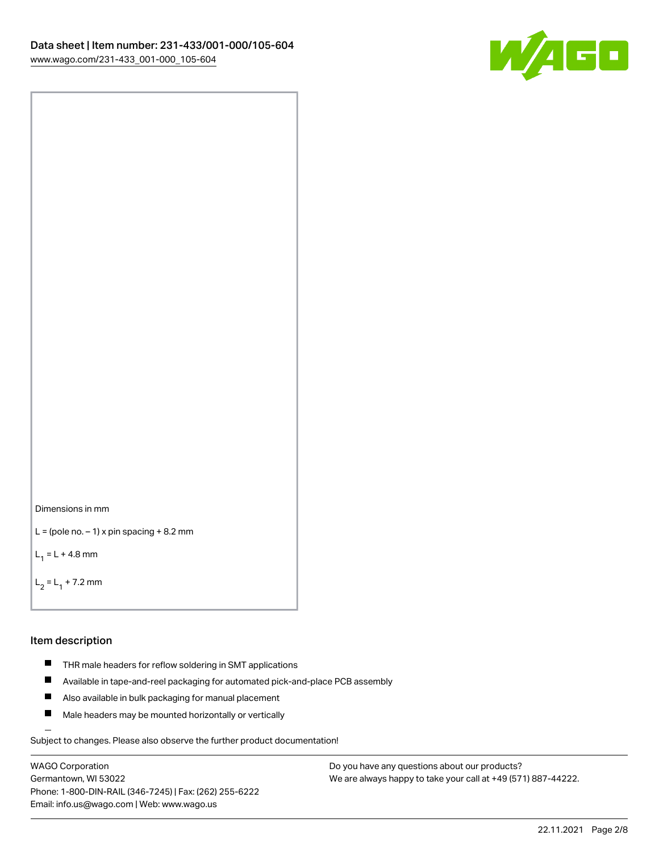

```
Dimensions in mm
```

```
L = (pole no. -1) x pin spacing +8.2 mm
```
 $L_1 = L + 4.8$  mm

```
L_2 = L_1 + 7.2 mm
```
### Item description

- **THR** male headers for reflow soldering in SMT applications
- $\blacksquare$ Available in tape-and-reel packaging for automated pick-and-place PCB assembly
- $\blacksquare$ Also available in bulk packaging for manual placement
- $\blacksquare$ Male headers may be mounted horizontally or vertically

Subject to changes. Please also observe the further product documentation!

WAGO Corporation Germantown, WI 53022 Phone: 1-800-DIN-RAIL (346-7245) | Fax: (262) 255-6222 Email: info.us@wago.com | Web: www.wago.us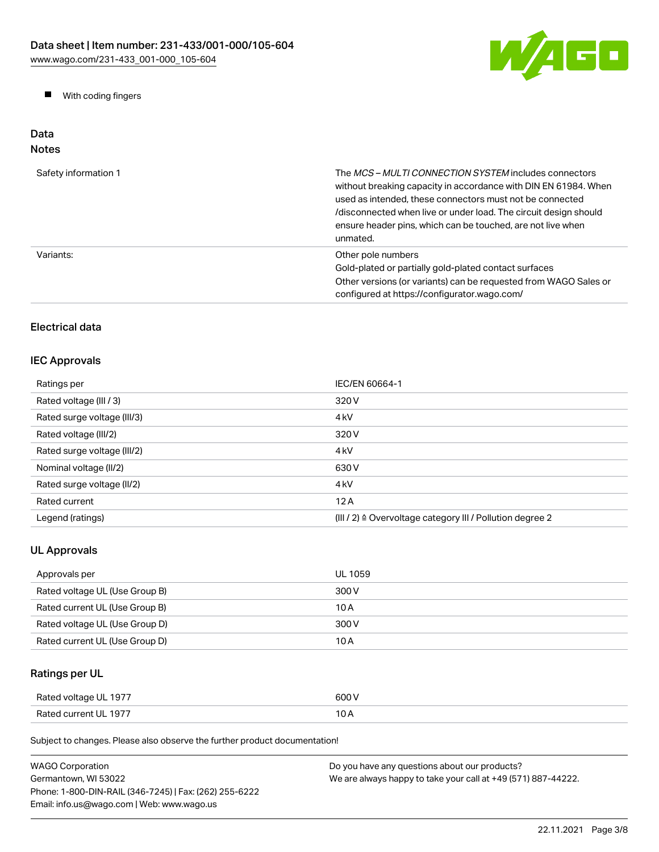

**Now With coding fingers** 

# Data Notes

| Safety information 1 | The <i>MCS - MULTI CONNECTION SYSTEM</i> includes connectors<br>without breaking capacity in accordance with DIN EN 61984. When<br>used as intended, these connectors must not be connected<br>/disconnected when live or under load. The circuit design should<br>ensure header pins, which can be touched, are not live when<br>unmated. |
|----------------------|--------------------------------------------------------------------------------------------------------------------------------------------------------------------------------------------------------------------------------------------------------------------------------------------------------------------------------------------|
| Variants:            | Other pole numbers<br>Gold-plated or partially gold-plated contact surfaces<br>Other versions (or variants) can be requested from WAGO Sales or<br>configured at https://configurator.wago.com/                                                                                                                                            |

# Electrical data

# IEC Approvals

| Ratings per                 | IEC/EN 60664-1                                            |
|-----------------------------|-----------------------------------------------------------|
| Rated voltage (III / 3)     | 320 V                                                     |
| Rated surge voltage (III/3) | 4 <sub>kV</sub>                                           |
| Rated voltage (III/2)       | 320 V                                                     |
| Rated surge voltage (III/2) | 4 <sub>kV</sub>                                           |
| Nominal voltage (II/2)      | 630 V                                                     |
| Rated surge voltage (II/2)  | 4 <sub>k</sub> V                                          |
| Rated current               | 12A                                                       |
| Legend (ratings)            | (III / 2) ≙ Overvoltage category III / Pollution degree 2 |

# UL Approvals

| Approvals per                  | UL 1059 |
|--------------------------------|---------|
| Rated voltage UL (Use Group B) | 300 V   |
| Rated current UL (Use Group B) | 10 A    |
| Rated voltage UL (Use Group D) | 300 V   |
| Rated current UL (Use Group D) | 10 A    |

# Ratings per UL

| Rated voltage UL 1977 | 600 V |
|-----------------------|-------|
| Rated current UL 1977 | 10 A  |

Subject to changes. Please also observe the further product documentation!

| <b>WAGO Corporation</b>                                | Do you have any questions about our products?                 |
|--------------------------------------------------------|---------------------------------------------------------------|
| Germantown, WI 53022                                   | We are always happy to take your call at +49 (571) 887-44222. |
| Phone: 1-800-DIN-RAIL (346-7245)   Fax: (262) 255-6222 |                                                               |
| Email: info.us@wago.com   Web: www.wago.us             |                                                               |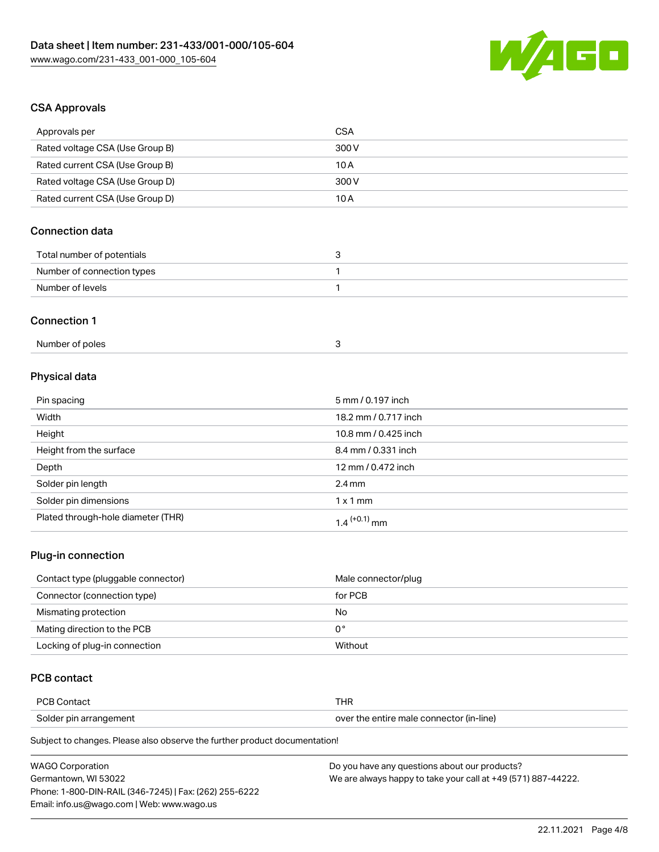

# CSA Approvals

| Approvals per                      | <b>CSA</b>           |
|------------------------------------|----------------------|
| Rated voltage CSA (Use Group B)    | 300 V                |
| Rated current CSA (Use Group B)    | 10A                  |
| Rated voltage CSA (Use Group D)    | 300 V                |
| Rated current CSA (Use Group D)    | 10A                  |
| <b>Connection data</b>             |                      |
| Total number of potentials         | 3                    |
| Number of connection types         | 1                    |
| Number of levels                   | 1                    |
| <b>Connection 1</b>                |                      |
| Number of poles                    | $\mathsf 3$          |
| Physical data                      |                      |
| Pin spacing                        | 5 mm / 0.197 inch    |
| Width                              | 18.2 mm / 0.717 inch |
| Height                             | 10.8 mm / 0.425 inch |
| Height from the surface            | 8.4 mm / 0.331 inch  |
| Depth                              | 12 mm / 0.472 inch   |
| Solder pin length                  | $2.4 \text{ mm}$     |
| Solder pin dimensions              | $1 \times 1$ mm      |
| Plated through-hole diameter (THR) | $1.4$ $(+0.1)$ mm    |
|                                    |                      |

## Plug-in connection

| Contact type (pluggable connector) | Male connector/plug |
|------------------------------------|---------------------|
| Connector (connection type)        | for PCB             |
| Mismating protection               | No                  |
| Mating direction to the PCB        | 0°                  |
| Locking of plug-in connection      | Without             |

# PCB contact

| <b>PCB Contact</b>     | THR                                      |
|------------------------|------------------------------------------|
| Solder pin arrangement | over the entire male connector (in-line) |

Subject to changes. Please also observe the further product documentation!

| <b>WAGO Corporation</b>                                | Do you have any questions about our products?                 |
|--------------------------------------------------------|---------------------------------------------------------------|
| Germantown, WI 53022                                   | We are always happy to take your call at +49 (571) 887-44222. |
| Phone: 1-800-DIN-RAIL (346-7245)   Fax: (262) 255-6222 |                                                               |
| Email: info.us@wago.com   Web: www.wago.us             |                                                               |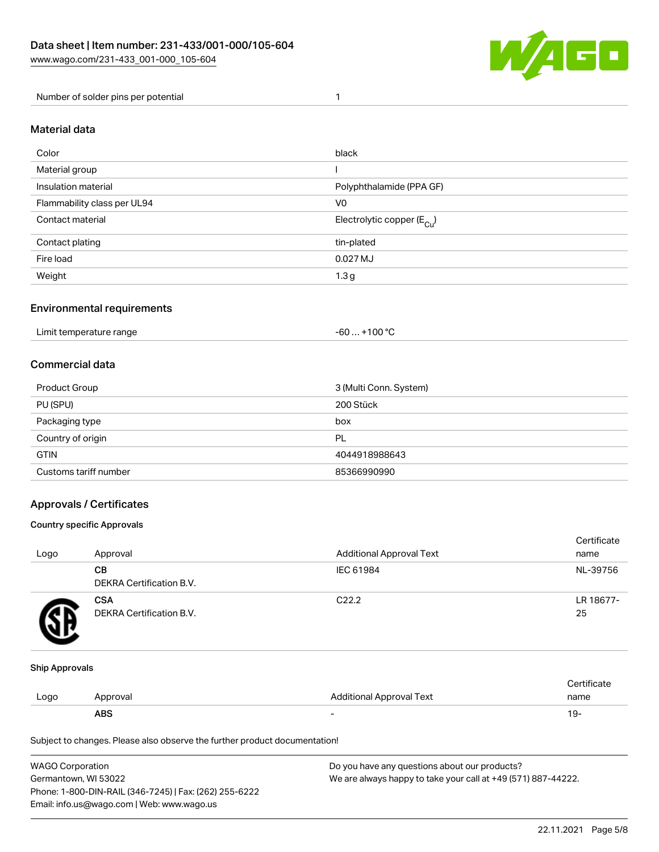

Number of solder pins per potential 1

## Material data

| Color                       | black                                  |
|-----------------------------|----------------------------------------|
| Material group              |                                        |
| Insulation material         | Polyphthalamide (PPA GF)               |
| Flammability class per UL94 | V <sub>0</sub>                         |
| Contact material            | Electrolytic copper (E <sub>Cu</sub> ) |
| Contact plating             | tin-plated                             |
| Fire load                   | 0.027 MJ                               |
| Weight                      | 1.3 <sub>g</sub>                       |

## Environmental requirements

Limit temperature range  $-60... +100 °C$ 

## Commercial data

| Product Group         | 3 (Multi Conn. System) |
|-----------------------|------------------------|
| PU (SPU)              | 200 Stück              |
| Packaging type        | box                    |
| Country of origin     | PL                     |
| <b>GTIN</b>           | 4044918988643          |
| Customs tariff number | 85366990990            |

## Approvals / Certificates

#### Country specific Approvals

| Logo | Approval                               | <b>Additional Approval Text</b> | Certificate<br>name |
|------|----------------------------------------|---------------------------------|---------------------|
|      | CВ<br>DEKRA Certification B.V.         | IEC 61984                       | NL-39756            |
|      | <b>CSA</b><br>DEKRA Certification B.V. | C <sub>22.2</sub>               | LR 18677-<br>25     |

#### Ship Approvals

|      | <b>ABS</b> |                          | ∙ש ו          |
|------|------------|--------------------------|---------------|
| Logo | Approval   | Additional Approval Text | name          |
|      |            |                          | ∵ertificare i |

Subject to changes. Please also observe the further product documentation!

| <b>WAGO Corporation</b>                                | Do you have any questions about our products?                 |  |
|--------------------------------------------------------|---------------------------------------------------------------|--|
| Germantown, WI 53022                                   | We are always happy to take your call at +49 (571) 887-44222. |  |
| Phone: 1-800-DIN-RAIL (346-7245)   Fax: (262) 255-6222 |                                                               |  |
| Email: info.us@wago.com   Web: www.wago.us             |                                                               |  |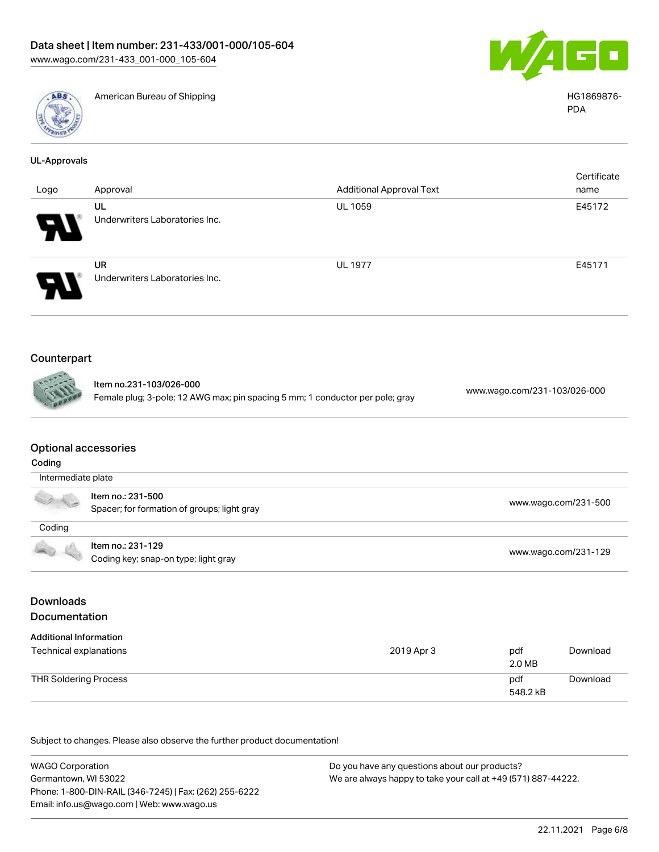



American Bureau of Shipping National American Bureau of Shipping HG1869876-

| UL-Approvals |
|--------------|
|              |

|                            |                                             |                                 | Certificate |
|----------------------------|---------------------------------------------|---------------------------------|-------------|
| Logo                       | Approval                                    | <b>Additional Approval Text</b> | name        |
| $\boldsymbol{\omega}$      | UL<br>Underwriters Laboratories Inc.        | UL 1059                         | E45172      |
| $\boldsymbol{\mathcal{L}}$ | <b>UR</b><br>Underwriters Laboratories Inc. | UL 1977                         | E45171      |

# Counterpart

| Iten |
|------|
| Fem  |
|      |

n no.231-103/026-000 Female plug; 3-pole; 12 AWG max; pin spacing 5 mm; 1 conductor per pole; gray [www.wago.com/231-103/026-000](https://www.wago.com/231-103/026-000)

### Optional accessories

| Coding |                                                                  |                      |  |  |
|--------|------------------------------------------------------------------|----------------------|--|--|
|        | Intermediate plate                                               |                      |  |  |
|        | Item no.: 231-500<br>Spacer; for formation of groups; light gray | www.wago.com/231-500 |  |  |
| Coding |                                                                  |                      |  |  |
|        | Item no.: 231-129<br>Coding key; snap-on type; light gray        | www.wago.com/231-129 |  |  |

# Downloads Documentation

| <b>Additional Information</b><br>Technical explanations | 2019 Apr 3 | pdf<br>2.0 MB   | Download |
|---------------------------------------------------------|------------|-----------------|----------|
| THR Soldering Process                                   |            | pdf<br>548.2 kB | Download |

Subject to changes. Please also observe the further product documentation!

WAGO Corporation Germantown, WI 53022 Phone: 1-800-DIN-RAIL (346-7245) | Fax: (262) 255-6222 Email: info.us@wago.com | Web: www.wago.us Do you have any questions about our products? We are always happy to take your call at +49 (571) 887-44222.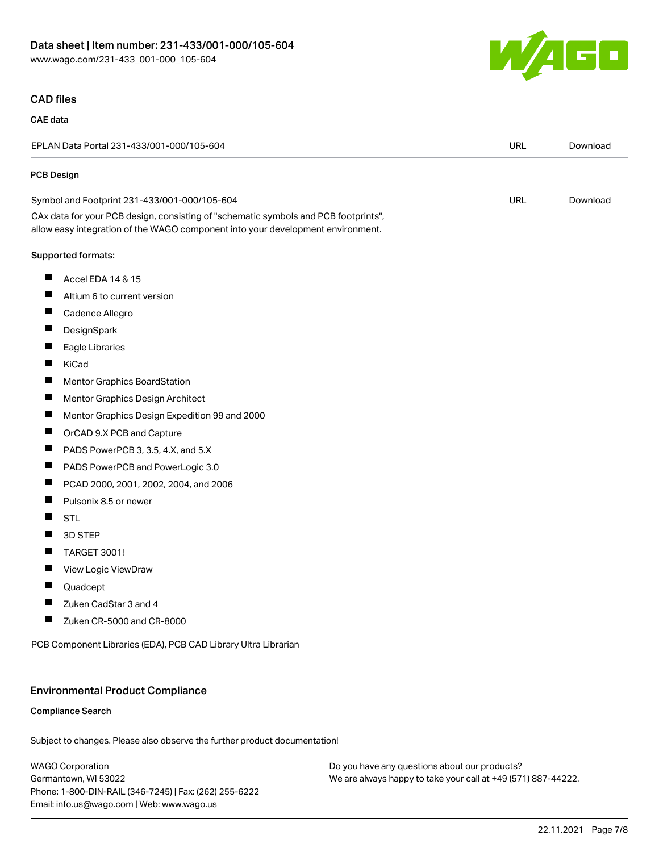

## CAD files

#### CAE data

| EPLAN Data Portal 231-433/001-000/105-604 |                                                                                                                                                                        | <b>URL</b> | Download |
|-------------------------------------------|------------------------------------------------------------------------------------------------------------------------------------------------------------------------|------------|----------|
| PCB Design                                |                                                                                                                                                                        |            |          |
|                                           | Symbol and Footprint 231-433/001-000/105-604                                                                                                                           | <b>URL</b> | Download |
|                                           | CAx data for your PCB design, consisting of "schematic symbols and PCB footprints",<br>allow easy integration of the WAGO component into your development environment. |            |          |
|                                           | Supported formats:                                                                                                                                                     |            |          |
| ш                                         | Accel EDA 14 & 15                                                                                                                                                      |            |          |
| Ш                                         | Altium 6 to current version                                                                                                                                            |            |          |
| ш                                         | Cadence Allegro                                                                                                                                                        |            |          |
| ш                                         | DesignSpark                                                                                                                                                            |            |          |
| ш                                         | Eagle Libraries                                                                                                                                                        |            |          |
| ш                                         | KiCad                                                                                                                                                                  |            |          |
| Ш                                         | Mentor Graphics BoardStation                                                                                                                                           |            |          |
| ш                                         | Mentor Graphics Design Architect                                                                                                                                       |            |          |
| ш                                         | Mentor Graphics Design Expedition 99 and 2000                                                                                                                          |            |          |
| ш                                         | OrCAD 9.X PCB and Capture                                                                                                                                              |            |          |
| ш                                         | PADS PowerPCB 3, 3.5, 4.X, and 5.X                                                                                                                                     |            |          |
| ш                                         | PADS PowerPCB and PowerLogic 3.0                                                                                                                                       |            |          |
| ш                                         | PCAD 2000, 2001, 2002, 2004, and 2006                                                                                                                                  |            |          |
| ш                                         | Pulsonix 8.5 or newer                                                                                                                                                  |            |          |
|                                           | <b>STL</b>                                                                                                                                                             |            |          |
| ш                                         | 3D STEP                                                                                                                                                                |            |          |
| Ш                                         | TARGET 3001!                                                                                                                                                           |            |          |
| ш                                         | View Logic ViewDraw                                                                                                                                                    |            |          |
|                                           | Quadcept                                                                                                                                                               |            |          |
| Ш                                         | Zuken CadStar 3 and 4                                                                                                                                                  |            |          |
| ш                                         | Zuken CR-5000 and CR-8000                                                                                                                                              |            |          |
|                                           | PCB Component Libraries (EDA), PCB CAD Library Ultra Librarian                                                                                                         |            |          |

### Environmental Product Compliance

### Compliance Search

Subject to changes. Please also observe the further product documentation!

WAGO Corporation Germantown, WI 53022 Phone: 1-800-DIN-RAIL (346-7245) | Fax: (262) 255-6222 Email: info.us@wago.com | Web: www.wago.us